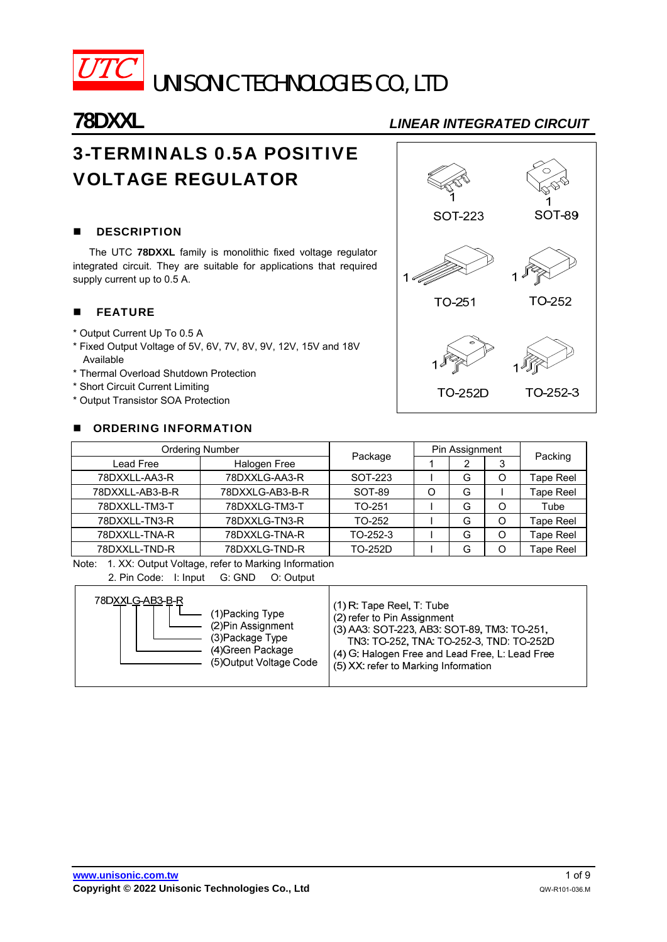

UNISONIC TECHNOLOGIES CO., LTD

# **78DXXL** *LINEAR INTEGRATED CIRCUIT*

# 3-TERMINALS 0.5A POSITIVE VOLTAGE REGULATOR

# **DESCRIPTION**

 The UTC **78DXXL** family is monolithic fixed voltage regulator integrated circuit. They are suitable for applications that required supply current up to 0.5 A.

## **FEATURE**

- \* Output Current Up To 0.5 A
- \* Fixed Output Voltage of 5V, 6V, 7V, 8V, 9V, 12V, 15V and 18V Available
- \* Thermal Overload Shutdown Protection
- \* Short Circuit Current Limiting
- \* Output Transistor SOA Protection

### **CORDERING INFORMATION**



| Ordering Number |                 |                |   | Pin Assignment |   |                  |  |
|-----------------|-----------------|----------------|---|----------------|---|------------------|--|
| Lead Free       | Halogen Free    | Package        |   |                |   | Packing          |  |
| 78DXXLL-AA3-R   | 78DXXLG-AA3-R   | SOT-223        |   | G              | O | Tape Reel        |  |
| 78DXXLL-AB3-B-R | 78DXXLG-AB3-B-R | SOT-89         | O | G              |   | <b>Tape Reel</b> |  |
| 78DXXLL-TM3-T   | 78DXXLG-TM3-T   | TO-251         |   | G              | O | Tube             |  |
| 78DXXLL-TN3-R   | 78DXXLG-TN3-R   | TO-252         |   | G              | O | Tape Reel        |  |
| 78DXXLL-TNA-R   | 78DXXLG-TNA-R   | TO-252-3       |   | G              | O | Tape Reel        |  |
| 78DXXLL-TND-R   | 78DXXLG-TND-R   | <b>TO-252D</b> |   | G              | ∩ | <b>Tape Reel</b> |  |

Note: 1. XX: Output Voltage, refer to Marking Information

| 2. Pin Code: I: Input G: GND O: Output |  |  |
|----------------------------------------|--|--|
|                                        |  |  |

| 78DXXLG-AB3-B-R         | (1) R: Tape Reel, T: Tube                       |
|-------------------------|-------------------------------------------------|
| 1)Packing Type          | (2) refer to Pin Assignment                     |
| (2) Pin Assignment      | (3) AA3: SOT-223, AB3: SOT-89, TM3: TO-251,     |
| (3) Package Type        | TN3: TO-252, TNA: TO-252-3, TND: TO-252D        |
| (4)Green Package        | (4) G: Halogen Free and Lead Free, L: Lead Free |
| (5) Output Voltage Code | (5) XX: refer to Marking Information            |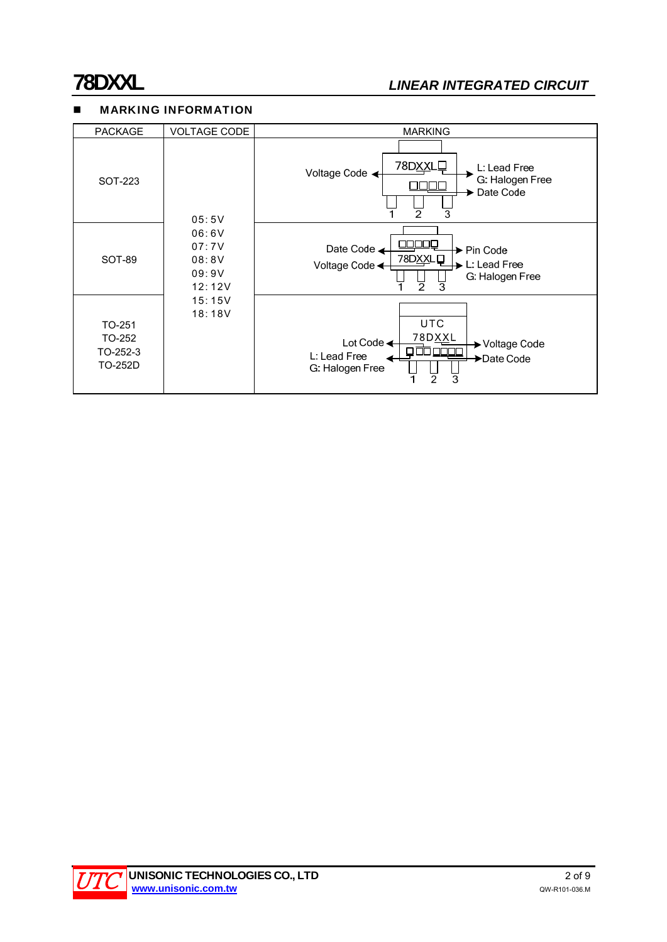# **78DXXL** *LINEAR INTEGRATED CIRCUIT*

# **MARKING INFORMATION**

| <b>PACKAGE</b>                          | <b>VOLTAGE CODE</b>                                                     | <b>MARKING</b>                                                                                                                |
|-----------------------------------------|-------------------------------------------------------------------------|-------------------------------------------------------------------------------------------------------------------------------|
| SOT-223                                 | 05:5V<br>06:6V<br>07:7V<br>08:8V<br>09:9V<br>12:12V<br>15:15V<br>18:18V | 78DXXLQ<br>L: Lead Free<br>Voltage Code <<br>G. Halogen Free<br>Date Code<br>$\overline{2}$<br>3                              |
| SOT-89                                  |                                                                         | Date Code <<br>▶ Pin Code<br>78DXXLD<br>L: Lead Free<br>Voltage Code <←<br>G. Halogen Free<br>$\overline{2}$<br>3             |
| TO-251<br>TO-252<br>TO-252-3<br>TO-252D |                                                                         | <b>UTC</b><br>78DXXL<br>Lot Code $\triangleleft$<br>→ Voltage Code<br>┐<br>L: Lead Free<br>▶Date Code<br>G: Halogen Free<br>3 |

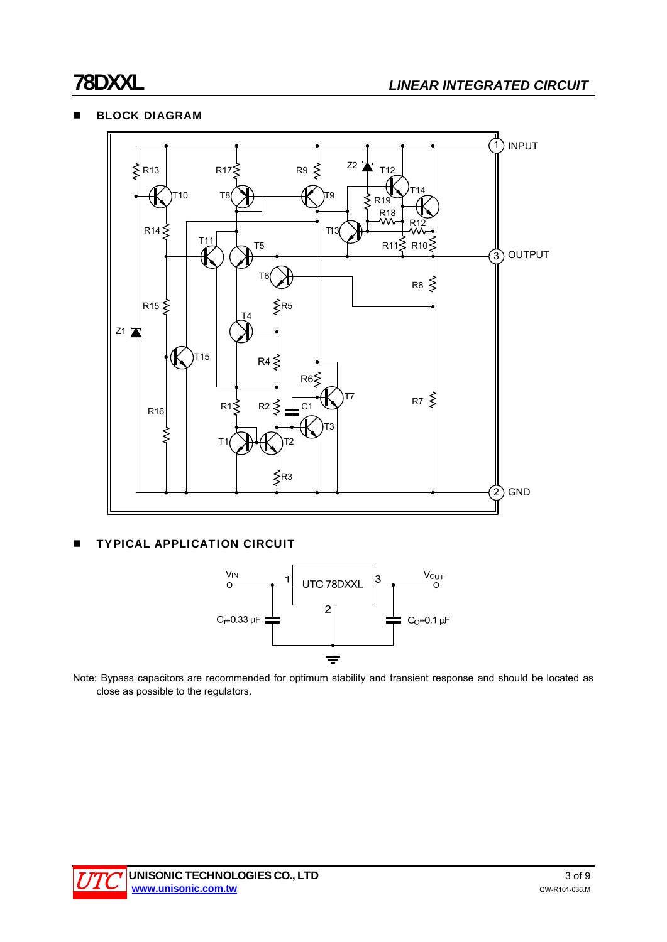## **BLOCK DIAGRAM**



### **TYPICAL APPLICATION CIRCUIT**



Note: Bypass capacitors are recommended for optimum stability and transient response and should be located as close as possible to the regulators.

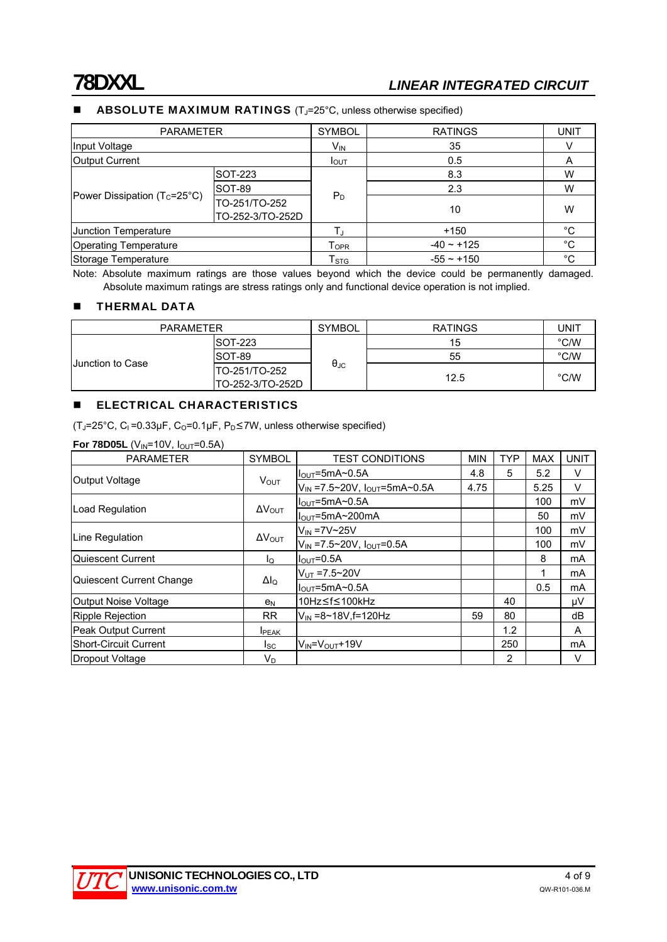# **78DXXL** *LINEAR INTEGRATED CIRCUIT*

#### ABSOLUTE MAXIMUM RATINGS (T<sub>J</sub>=25°C, unless otherwise specified)

| <b>PARAMETER</b>                      |                                   | <b>SYMBOL</b>         | <b>RATINGS</b>                                                                                            | <b>UNIT</b>    |
|---------------------------------------|-----------------------------------|-----------------------|-----------------------------------------------------------------------------------------------------------|----------------|
| Input Voltage                         |                                   | 35<br>V <sub>IN</sub> |                                                                                                           |                |
| <b>Output Current</b>                 |                                   | I <sub>OUT</sub>      | 0.5                                                                                                       | $\overline{A}$ |
| SOT-223                               |                                   |                       | 8.3                                                                                                       | W              |
|                                       | SOT-89                            |                       | 2.3<br>$P_D$<br>10<br>$+150$<br>$-40 \sim +125$<br>$T_{\mathsf{OPR}}$<br>$T_{\rm STG}$<br>$-55 \sim +150$ | W              |
| Power Dissipation $(T_c=25^{\circ}C)$ | TO-251/TO-252<br>TO-252-3/TO-252D |                       |                                                                                                           | W              |
| Junction Temperature                  |                                   |                       |                                                                                                           | °C             |
| <b>Operating Temperature</b>          |                                   |                       |                                                                                                           | °C             |
| Storage Temperature                   |                                   |                       |                                                                                                           | °C             |

Note: Absolute maximum ratings are those values beyond which the device could be permanently damaged. Absolute maximum ratings are stress ratings only and functional device operation is not implied.

#### **THERMAL DATA**

| <b>PARAMETER</b>        |                   | <b>SYMBOL</b>        | <b>RATINGS</b> | UNIT          |
|-------------------------|-------------------|----------------------|----------------|---------------|
|                         | ISOT-223          |                      | 15             | °C/W          |
|                         | ISOT-89           |                      | 55             | $\degree$ C/W |
| <b>Junction to Case</b> | ITO-251/TO-252    | $\theta_{\text{JC}}$ |                | $\degree$ C/W |
|                         | ITO-252-3/TO-252D |                      | 12.5           |               |

## **ELECTRICAL CHARACTERISTICS**

 $(T_J=25^{\circ}C, C_I=0.33\mu F, C_O=0.1\mu F, P_D\leq TW$ , unless otherwise specified)

**For 78D05L** (V<sub>IN</sub>=10V,  $I_{\text{OUT}}$ =0.5A)

| <b>PARAMETER</b>             | <b>SYMBOL</b>                                                                                                             | <b>TEST CONDITIONS</b>                            | <b>MIN</b> | <b>TYP</b> | <b>MAX</b>                         | <b>UNIT</b> |
|------------------------------|---------------------------------------------------------------------------------------------------------------------------|---------------------------------------------------|------------|------------|------------------------------------|-------------|
|                              | <b>VOUT</b>                                                                                                               | $I_{\text{OUT}} = 5 \text{mA} \sim 0.5 \text{A}$  | 4.8        | 5          | 5.2                                | V           |
| Output Voltage               |                                                                                                                           | $V_{IN}$ =7.5~20V, $I_{OUT}$ =5mA~0.5A            | 4.75       |            | 5.25                               | V           |
|                              |                                                                                                                           | $I_{\text{OUT}} = 5 \text{mA} \sim 0.5 \text{A}$  |            |            | 100                                | mV          |
| Load Regulation              |                                                                                                                           | $I_{\text{OUT}} = 5 \text{mA} \sim 200 \text{mA}$ |            |            | 50                                 | mV          |
|                              | $\Delta V_{\text{OUT}}$<br>$\Delta V_{\text{OUT}}$<br>ΙQ<br>$\Delta I_Q$<br>e <sub>N</sub><br>RR.<br><b>I</b> PEAK<br>Isc | $V_{IN}$ =7V~25V                                  |            |            | 100                                | mV          |
| Line Regulation              |                                                                                                                           | $V_{IN}$ =7.5~20V, $I_{OUT}$ =0.5A                |            |            | 100                                | mV          |
| Quiescent Current            |                                                                                                                           | $I_{\text{OUT}}=0.5A$                             |            |            | 8                                  | mA          |
|                              |                                                                                                                           | $V_{UT} = 7.5 - 20V$                              |            |            |                                    | mA          |
| Quiescent Current Change     |                                                                                                                           | $IOUT=5mA~0.5A$                                   |            |            | 0.5<br>40<br>80<br>1.2<br>250<br>2 | mA          |
| Output Noise Voltage         |                                                                                                                           | 10Hz≤f≤100kHz                                     |            |            |                                    | μV          |
| Ripple Rejection             |                                                                                                                           | $V_{\text{IN}} = 8 \times 18V$ , f=120Hz          | 59         |            |                                    | dB          |
| Peak Output Current          |                                                                                                                           |                                                   |            |            |                                    | A           |
| <b>Short-Circuit Current</b> |                                                                                                                           | $V_{IN} = V_{OUT} + 19V$                          |            |            |                                    | mA          |
| Dropout Voltage              | V <sub>D</sub>                                                                                                            |                                                   |            |            |                                    | V           |

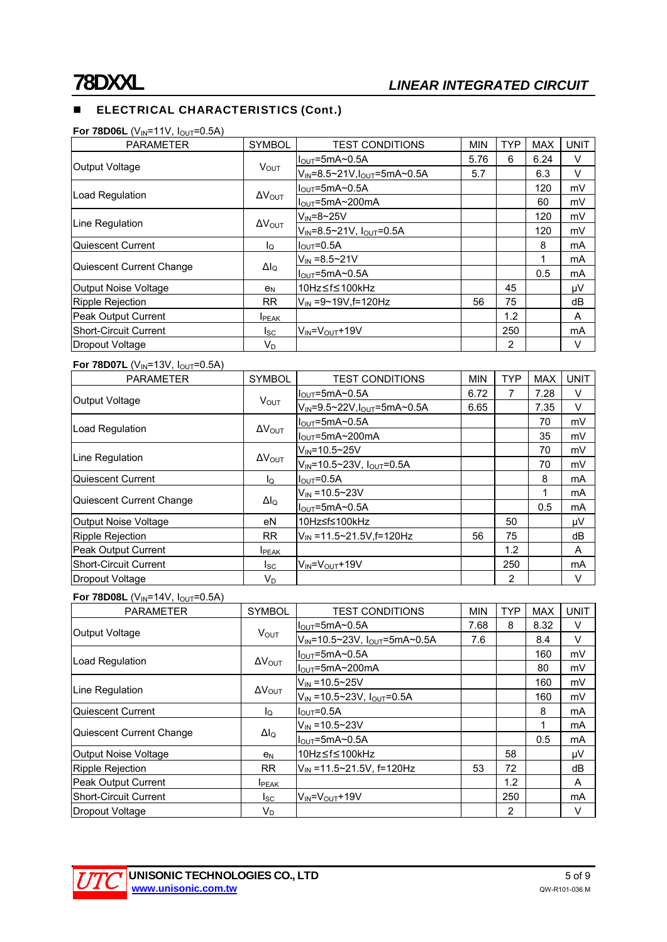# **ELECTRICAL CHARACTERISTICS (Cont.)**

### **For 78D06L** (V<sub>IN</sub>=11V,  $I_{OUT}$ =0.5A)

| <b>PARAMETER</b>             | <b>SYMBOL</b>           | <b>TEST CONDITIONS</b>                            | <b>MIN</b> | <b>TYP</b>                       | <b>MAX</b> | <b>UNIT</b> |
|------------------------------|-------------------------|---------------------------------------------------|------------|----------------------------------|------------|-------------|
|                              |                         | $I_{\text{OUT}}$ =5mA~0.5A                        | 5.76       | 6<br>45<br>75<br>1.2<br>250<br>2 | 6.24       | V           |
| Output Voltage               | $V_{\text{OUT}}$        | $V_{IN} = 8.5 - 21V, I_{OUT} = 5mA - 0.5A$        | 5.7        |                                  | 6.3        | V           |
|                              |                         | $I_{\text{OUT}} = 5 \text{mA} \sim 0.5 \text{A}$  |            |                                  | 120        | mV          |
| Load Regulation              | $\Delta V_{\text{OUT}}$ | $I_{\text{OUT}} = 5 \text{mA} \sim 200 \text{mA}$ |            |                                  | 60         | mV          |
|                              |                         | $V_{IN} = 8 \sim 25V$                             |            |                                  | 120        | mV          |
| Line Regulation              | $\Delta V_{\text{OUT}}$ | $V_{IN} = 8.5 - 21V$ , $I_{OUT} = 0.5A$           |            |                                  | 120        | mV          |
| Quiescent Current            | $I_{\rm Q}$             | $I_{\text{OUT}}=0.5A$                             |            |                                  | 8          | mA          |
| Quiescent Current Change     |                         | $V_{IN} = 8.5 - 21V$                              |            |                                  |            | mA          |
|                              | $\Delta I_{\rm Q}$      | $I_{\text{OUT}} = 5 \text{mA} \sim 0.5 \text{A}$  |            |                                  | 0.5        | mA          |
| Output Noise Voltage         | e <sub>N</sub>          | 10Hz≤f≤100kHz                                     |            |                                  |            | μV          |
| <b>Ripple Rejection</b>      | <b>RR</b>               | $V_{IN} = 9 - 19V$ . f=120Hz                      | 56         |                                  |            | dB          |
| <b>Peak Output Current</b>   | <b>I</b> PEAK           |                                                   |            |                                  |            | A           |
| <b>Short-Circuit Current</b> | Isc                     | $V_{IN} = V_{OUT} + 19V$                          |            |                                  |            | mA          |
| Dropout Voltage              | $V_D$                   |                                                   |            |                                  |            | V           |

### **For 78D07L** (V<sub>IN</sub>=13V, I<sub>OUT</sub>=0.5A)

| <b>PARAMETER</b>             | <b>SYMBOL</b>           | <b>TEST CONDITIONS</b>                            | <b>MIN</b> | TYP | <b>MAX</b> | <b>UNIT</b> |
|------------------------------|-------------------------|---------------------------------------------------|------------|-----|------------|-------------|
|                              |                         | Il <sub>oυτ</sub> =5mA~0.5A                       | 6.72       |     | 7.28       | V           |
| Output Voltage               | <b>VOUT</b>             | $V_{IN} = 9.5 - 22V, I_{OUT} = 5mA - 0.5A$        | 6.65       |     | 7.35       | V           |
|                              | $\Delta V_{\text{OUT}}$ | $I_{\text{OUT}} = 5 \text{mA} \sim 0.5 \text{A}$  |            |     | 70         | mV          |
| Load Regulation              |                         | $IOUT=5mA~200mA$                                  |            |     | 35         | mV          |
|                              | $\Delta V_{\text{OUT}}$ | $V_{IN} = 10.5 - 25V$                             |            |     | 70         | mV          |
| Line Regulation              |                         | V <sub>IN</sub> =10.5~23V, I <sub>OUT</sub> =0.5A |            |     | 70         | mV          |
| Quiescent Current            | ΙQ                      | $I_{\text{OUT}}=0.5A$                             |            |     | 8          | mA          |
|                              |                         | $V_{IN} = 10.5 \times 23V$                        |            |     | 1          | mA          |
| Quiescent Current Change     | $\Delta I_Q$            | $IOUT=5mA~0.5A$                                   |            |     | 0.5        | mA          |
| Output Noise Voltage         | eN                      | 10Hz≤f≤100kHz                                     |            | 50  |            | μV          |
| Ripple Rejection             | <b>RR</b>               | $V_{IN} = 11.5 \times 21.5 V, f = 120 Hz$         | 56         | 75  |            | dB          |
| Peak Output Current          | <b>I</b> PEAK           |                                                   |            | 1.2 |            | A           |
| <b>Short-Circuit Current</b> | <sub>sc</sub>           | $V_{IN} = V_{OII} + 19V$                          |            | 250 |            | mA          |
| Dropout Voltage              | $V_D$                   |                                                   |            | 2   |            | v           |

#### **For 78D08L** ( $V_{IN}$ =14V,  $I_{OUT}$ =0.5A)

| <b>PARAMETER</b>         | <b>SYMBOL</b>           | <b>TEST CONDITIONS</b>                           | <b>MIN</b> | <b>TYP</b> | <b>MAX</b> | <b>UNIT</b> |
|--------------------------|-------------------------|--------------------------------------------------|------------|------------|------------|-------------|
|                          |                         | $I_{\text{OUT}} = 5 \text{mA} \sim 0.5 \text{A}$ | 7.68       | 8          | 8.32       | V           |
| <b>Output Voltage</b>    | $V_{\text{OUT}}$        | $V_{IN}$ =10.5~23V, $I_{OUT}$ =5mA~0.5A          | 7.6        |            | 8.4        | V           |
|                          |                         | $I_{\text{OUT}} = 5 \text{mA} \sim 0.5 \text{A}$ |            |            | 160        | mV          |
| Load Regulation          | $\Delta V_{\text{OUT}}$ | $I_{OUT}$ =5mA~200mA                             |            |            | 80         | mV          |
|                          |                         | $V_{IN} = 10.5 \times 25V$                       |            |            | 160        | mV          |
| Line Regulation          | $\Delta V_{\text{OUT}}$ | $V_{IN}$ =10.5~23V, $I_{OUT}$ =0.5A              |            |            | 160        | mV          |
| Quiescent Current        | ΙQ                      | $I_{\text{OUT}}=0.5A$                            |            |            | 8          | mA          |
|                          |                         | $V_{IN} = 10.5 - 23V$                            |            |            |            | mA          |
| Quiescent Current Change | $\Delta I_Q$            | $IOUT=5mA~0.5A$                                  |            |            | 0.5        | mA          |
| Output Noise Voltage     | e <sub>N</sub>          | 10Hz≤f≤100kHz                                    |            | 58         |            | μV          |
| Ripple Rejection         | RR.                     | $V_{\text{IN}}$ =11.5~21.5V, f=120Hz             | 53         | 72         |            | dB          |
| Peak Output Current      | <b>I</b> PEAK           |                                                  |            | 1.2        |            | A           |
| Short-Circuit Current    | Isc                     | $V_{IN} = V_{OUT} + 19V$                         |            | 250        |            | mA          |
| Dropout Voltage          | $V_D$                   |                                                  |            | 2          |            | V           |

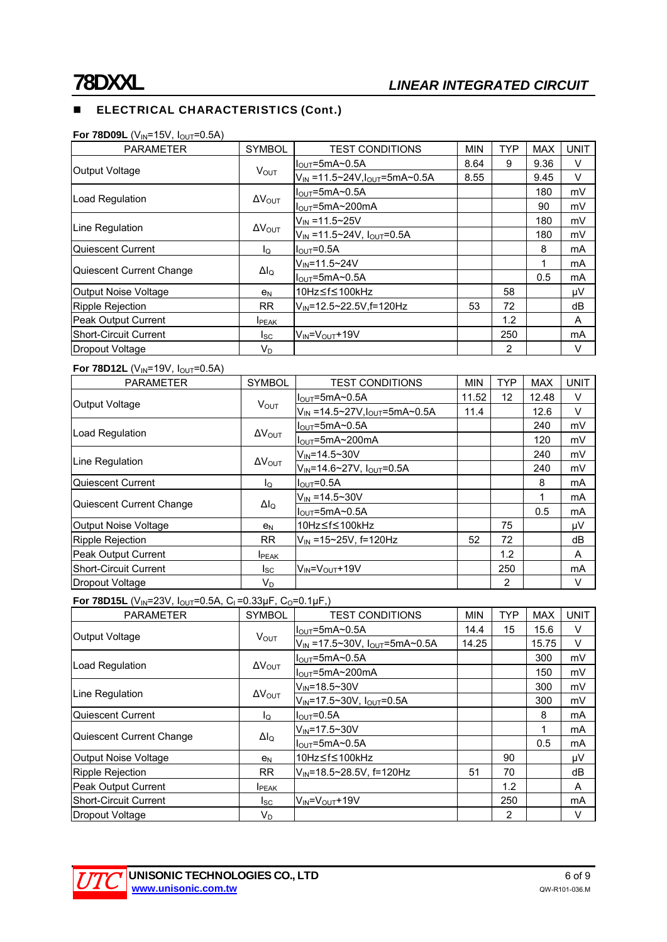# **ELECTRICAL CHARACTERISTICS (Cont.)**

| <b>PARAMETER</b>             | <b>SYMBOL</b>           | <b>TEST CONDITIONS</b>                                | <b>MIN</b> | <b>TYP</b> | <b>MAX</b> | <b>UNIT</b> |
|------------------------------|-------------------------|-------------------------------------------------------|------------|------------|------------|-------------|
|                              |                         | $IOUT=5mA~0.5A$                                       | 8.64       | 9          | 9.36       | v           |
| Output Voltage               | <b>VOUT</b>             | $V_{IN} = 11.5 \times 24V, I_{OUT} = 5mA \times 0.5A$ | 8.55       |            | 9.45       | V           |
|                              |                         | $IOUT=5mA~0.5A$                                       |            |            | 180        | mV          |
| Load Regulation              | $\Delta V_{\text{OUT}}$ | $I_{\text{OUT}}$ =5mA~200mA                           |            |            | 90         | mV          |
| Line Regulation              | $\Delta V_{\text{OUT}}$ | $V_{IN} = 11.5 \times 25V$                            |            |            | 180        | mV          |
|                              |                         | $V_{IN}$ =11.5~24V, $I_{OUT}$ =0.5A                   |            |            | 180        | mV          |
| Quiescent Current            | lo                      | $IOUT=0.5A$                                           |            |            | 8          | mA          |
| Quiescent Current Change     | $\Delta I_{\rm Q}$      | $V_{IN} = 11.5 - 24V$                                 |            |            |            | mA          |
|                              |                         | $IOUT=5mA~0.5A$                                       |            |            | 0.5        | mA          |
| Output Noise Voltage         | e <sub>N</sub>          | 10Hz≤f≤100kHz                                         |            | 58         |            | μV          |
| Ripple Rejection             | RR.                     | V <sub>IN</sub> =12.5~22.5V,f=120Hz                   | 53         | 72         |            | dB          |
| Peak Output Current          | <b>I</b> PEAK           |                                                       |            | 1.2        |            | A           |
| <b>Short-Circuit Current</b> | Isc                     | $V_{IN} = V_{OUT} + 19V$                              |            | 250        |            | mA          |
| Dropout Voltage              | $V_D$                   |                                                       |            | 2          |            | V           |

#### **For 78D12L** (V<sub>IN</sub>=19V,  $I_{OUT}$ =0.5A)

| <b>PARAMETER</b>             | <b>SYMBOL</b>           | <b>TEST CONDITIONS</b>                                | <b>MIN</b> | <b>TYP</b>        | <b>MAX</b> | <b>UNIT</b> |
|------------------------------|-------------------------|-------------------------------------------------------|------------|-------------------|------------|-------------|
| <b>Output Voltage</b>        | $V_{\text{OUT}}$        | $I_{\text{OUT}}$ =5mA~0.5A                            | 11.52      | $12 \overline{ }$ | 12.48      | V           |
|                              |                         | $V_{IN} = 14.5 \times 27V, I_{OUT} = 5mA \times 0.5A$ | 11.4       |                   | 12.6       | V           |
| Load Regulation              | $\Delta V_{\text{OUT}}$ | $I_{\text{OUT}}$ =5mA~0.5A                            |            |                   | 240        | mV          |
|                              |                         | I <sub>out</sub> =5mA~200mA                           |            |                   | 120        | mV          |
| Line Regulation              | $\Delta V_{\text{OUT}}$ | $V_{IN} = 14.5 \times 30V$                            |            |                   | 240        | mV          |
|                              |                         | $V_{IN} = 14.6 \times 27V$ , $I_{OUT} = 0.5A$         |            |                   | 240        | mV          |
| Quiescent Current            | $I_{\Omega}$            | $IQUT=0.5A$                                           |            |                   | 8          | mA          |
| Quiescent Current Change     | $\Delta I_Q$            | $V_{IN} = 14.5 \times 30V$                            |            |                   |            | mA          |
|                              |                         | $I_{\text{OUT}}$ =5mA~0.5A                            |            |                   | 0.5        | mA          |
| Output Noise Voltage         | e <sub>N</sub>          | 10Hz≤f≤100kHz                                         |            | 75                |            | μV          |
| Ripple Rejection             | <b>RR</b>               | $V_{\text{IN}}$ =15~25V, f=120Hz                      | 52         | 72                |            | dB          |
| Peak Output Current          | <b>I</b> PEAK           |                                                       |            | 1.2               |            | A           |
| <b>Short-Circuit Current</b> | l <sub>SC</sub>         | $V_{IN} = V_{OUT} + 19V$                              |            | 250               |            | mA          |
| Dropout Voltage              | $V_D$                   |                                                       |            | 2                 |            | V           |

**For 78D15L** (V<sub>IN</sub>=23V, I<sub>OUT</sub>=0.5A, C<sub>I</sub>=0.33μF, C<sub>O</sub>=0.1μF,)

| <b>PARAMETER</b>             | <b>SYMBOL</b>           | <b>TEST CONDITIONS</b>                           | <b>MIN</b> | <b>TYP</b> | <b>MAX</b> | <b>UNIT</b> |
|------------------------------|-------------------------|--------------------------------------------------|------------|------------|------------|-------------|
| <b>Output Voltage</b>        | <b>VOUT</b>             | $IOUT=5mA~0.5A$                                  | 14.4       | 15         | 15.6       | V           |
|                              |                         | $V_{IN}$ =17.5~30V, $I_{OUT}$ =5mA~0.5A          | 14.25      |            | 15.75      | V           |
| Load Regulation              | $\Delta V_{\text{OUT}}$ | $I_{\text{OUT}} = 5 \text{mA} \sim 0.5 \text{A}$ |            |            | 300        | mV          |
|                              |                         | $IOUT=5mA~200mA$                                 |            |            | 150        | mV          |
| Line Regulation              |                         | $V_{\text{IN}} = 18.5 - 30V$                     |            |            | 300        | mV          |
|                              | $\Delta V_{\text{OUT}}$ | $V_{IN} = 17.5 \times 30V$ , $I_{OUT} = 0.5A$    |            |            | 300        | mV          |
| Quiescent Current            | lo.                     | $I_{\text{OUT}} = 0.5A$                          |            |            | 8          | mA          |
| Quiescent Current Change     | $\Delta I_Q$            | $V_{IN} = 17.5 - 30V$                            |            |            |            | mA          |
|                              |                         | $IOUT=5mA~0.5A$                                  |            |            | 0.5        | mA          |
| Output Noise Voltage         | e <sub>N</sub>          | 10Hz≤f≤100kHz                                    |            | 90         |            | μV          |
| <b>Ripple Rejection</b>      | RR.                     | $V_{IN} = 18.5 \times 28.5 V$ , f=120Hz          | 51         | 70         |            | dB          |
| <b>Peak Output Current</b>   | <b>I</b> PEAK           |                                                  |            | 1.2        |            | A           |
| <b>Short-Circuit Current</b> | Isc                     | $V_{IN} = V_{OUT} + 19V$                         |            | 250        |            | mA          |
| Dropout Voltage              | V <sub>D</sub>          |                                                  |            | 2          |            | $\vee$      |

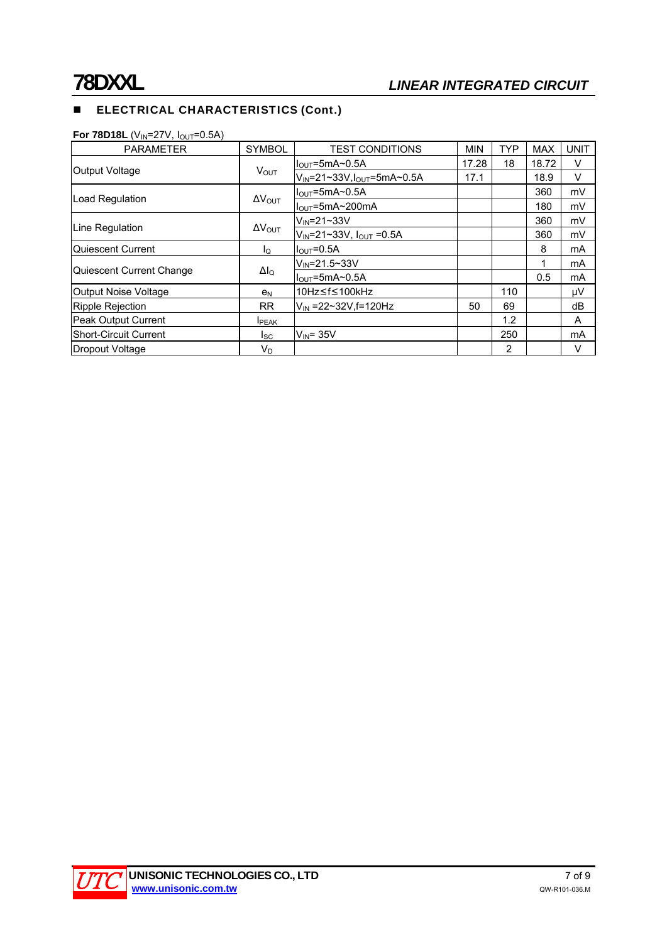# **ELECTRICAL CHARACTERISTICS (Cont.)**

**For 78D18L** (V<sub>IN</sub>=27V,  $I_{\text{OUT}}$ =0.5A)

| <b>PARAMETER</b>         | <b>SYMBOL</b>           | <b>TEST CONDITIONS</b>                           | <b>MIN</b> | <b>TYP</b> | <b>MAX</b> | <b>UNIT</b> |
|--------------------------|-------------------------|--------------------------------------------------|------------|------------|------------|-------------|
| Output Voltage           | $V_{OUT}$               | $IQUT=5mA20.5A$                                  | 17.28      | 18         | 18.72      | V           |
|                          |                         | $V_{IN} = 21 - 33V, I_{OUT} = 5mA - 0.5A$        | 17.1       |            | 18.9       | V           |
| <b>Load Regulation</b>   | $\Delta V_{\text{OUT}}$ | $I_{\text{OUT}} = 5 \text{mA} \sim 0.5 \text{A}$ |            |            | 360        | mV          |
|                          |                         | $IOUT=5mA~200mA$                                 |            |            | 180        | mV          |
| Line Regulation          | $\Delta V_{\text{OUT}}$ | $V_{\text{IN}}$ =21~33V                          |            |            | 360        | mV          |
|                          |                         | $V_{IN} = 21 - 33V$ , $I_{OUT} = 0.5A$           |            |            | 360        | mV          |
| Quiescent Current        | lo.                     | $IOUT=0.5A$                                      |            |            | 8          | mA          |
| Quiescent Current Change | $\Delta I_{\rm Q}$      | $V_{\text{IN}} = 21.5 - 33V$                     |            |            |            | mA          |
|                          |                         | $IOUT=5mA~0.5A$                                  |            |            | 0.5        | mA          |
| Output Noise Voltage     | en                      | 10Hz≤f≤100kHz                                    |            | 110        |            | μV          |
| Ripple Rejection         | RR.                     | $V_{\text{IN}}$ =22~32V, f=120Hz                 | 50         | 69         |            | dВ          |
| Peak Output Current      | <b>I</b> PEAK           |                                                  |            | 1.2        |            | A           |
| lShort-Circuit Current   | lsc.                    | $V_{IN}$ = 35 $V$                                |            | 250        |            | mA          |
| Dropout Voltage          | V <sub>D</sub>          |                                                  |            | 2          |            | v           |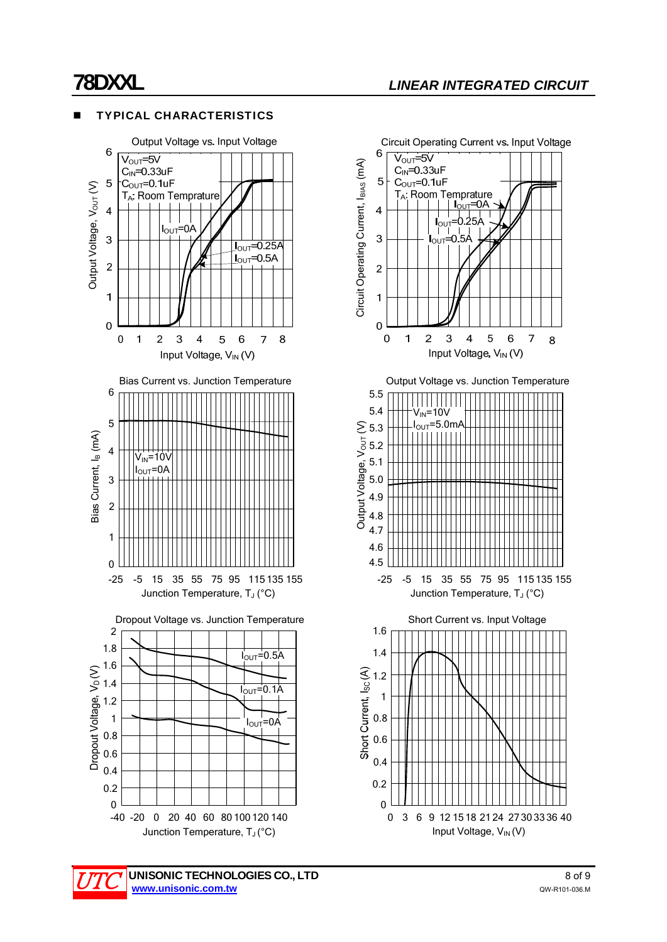#### Output Voltage vs. Input Voltage 6  $V<sub>OUT</sub>=5V$  $C_{IN} = 0.33$ uF  $-C_{\text{OUT}}=0.1$ uF  $\overline{5}$ Output Voltage, Vour (V) Output Voltage, V<sub>OUT</sub> (V) TA: Room Temprature  $\overline{4}$  $I_{\text{OUT}}=0A$  $\overline{3}$  $J_{\text{OUT}}=0.25$ A  $I_{\text{OUT}} = 0.5A$  $\overline{2}$  $\mathbf{1}$  $\overline{0}$  $\overline{1}$  $\overline{2}$ 3  $\overline{4}$  $\overline{5}$ 6  $\overline{7}$ 8  $\Omega$ Input Voltage, V<sub>IN</sub> (V) Bias Current vs. Junction Temperature 6 5 Bias Current, l<sub>B</sub> (mA) Bias Current, l<sub>B</sub> (mA) 4  $V_{\text{IN}}$ =10  $=0$ A 3 2 1  $\overline{0}$ -25 -5 15 35 55 75 95 115 135 155 Junction Temperature, T<sub>J</sub> (°C) Dropout Voltage vs. Junction Temperature 2 1.8  $I<sub>OMT</sub>=0.5A$ 1.6 1.4  $I_{\text{OUT}}=0.1$ A 1.2 1  $I_{\text{OUT}}=0A$ 0.8 0.6 0.4 0.2

TYPICAL CHARACTERISTICS

0 -40 -20 0 20 40 60 80 100 120 140 Junction Temperature, T<sub>J</sub> (°C)